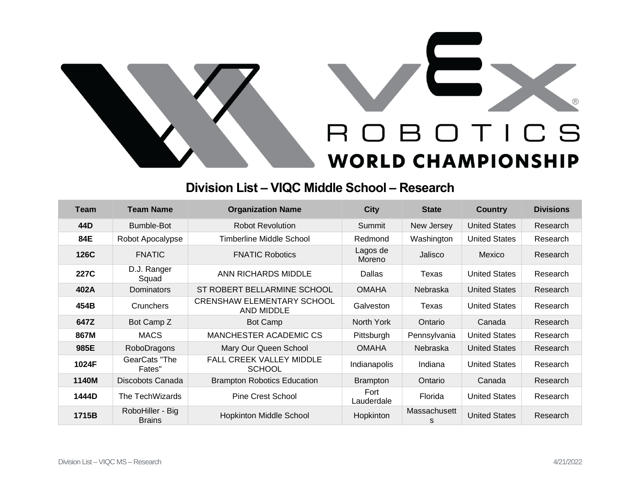



## **Division List – VIQC Middle School – Research**

| <b>Team</b> | <b>Team Name</b>                  | <b>Organization Name</b>                         | <b>City</b>        | <b>State</b>      | <b>Country</b>       | <b>Divisions</b> |
|-------------|-----------------------------------|--------------------------------------------------|--------------------|-------------------|----------------------|------------------|
| 44D         | Bumble-Bot                        | <b>Robot Revolution</b>                          | Summit             | New Jersey        | <b>United States</b> | Research         |
| 84E         | Robot Apocalypse                  | <b>Timberline Middle School</b>                  | Redmond            | Washington        | <b>United States</b> | Research         |
| 126C        | <b>FNATIC</b>                     | <b>FNATIC Robotics</b>                           | Lagos de<br>Moreno | Jalisco           | Mexico               | Research         |
| 227C        | D.J. Ranger<br>Squad              | ANN RICHARDS MIDDLE                              | Dallas             | Texas             | <b>United States</b> | Research         |
| 402A        | Dominators                        | ST ROBERT BELLARMINE SCHOOL                      | <b>OMAHA</b>       | <b>Nebraska</b>   | <b>United States</b> | Research         |
| 454B        | Crunchers                         | <b>CRENSHAW ELEMENTARY SCHOOL</b><br>AND MIDDLE  | Galveston          | Texas             | <b>United States</b> | Research         |
| 647Z        | Bot Camp Z                        | Bot Camp                                         | North York         | Ontario           | Canada               | Research         |
| 867M        | <b>MACS</b>                       | MANCHESTER ACADEMIC CS                           | Pittsburgh         | Pennsylvania      | <b>United States</b> | Research         |
| 985E        | RoboDragons                       | Mary Our Queen School                            | <b>OMAHA</b>       | <b>Nebraska</b>   | <b>United States</b> | Research         |
| 1024F       | GearCats "The<br>Fates"           | <b>FALL CREEK VALLEY MIDDLE</b><br><b>SCHOOL</b> | Indianapolis       | Indiana           | <b>United States</b> | Research         |
| 1140M       | Discobots Canada                  | <b>Brampton Robotics Education</b>               | <b>Brampton</b>    | Ontario           | Canada               | Research         |
| 1444D       | The TechWizards                   | <b>Pine Crest School</b>                         | Fort<br>Lauderdale | Florida           | <b>United States</b> | Research         |
| 1715B       | RoboHiller - Big<br><b>Brains</b> | <b>Hopkinton Middle School</b>                   | Hopkinton          | Massachusett<br>s | <b>United States</b> | Research         |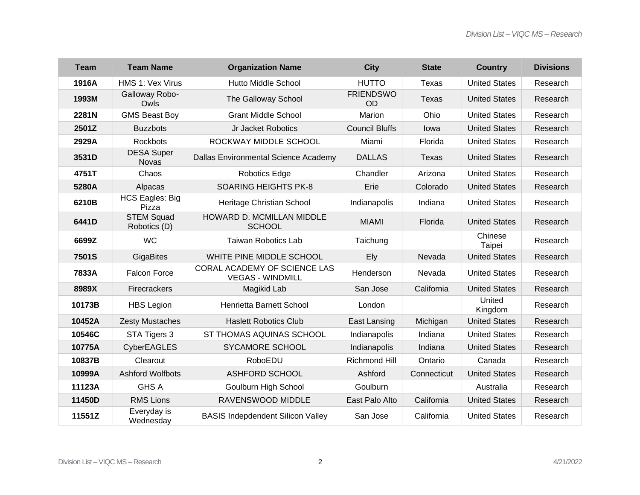| <b>Team</b> | <b>Team Name</b>                  | <b>Organization Name</b>                                | <b>City</b>                   | <b>State</b> | <b>Country</b>       | <b>Divisions</b> |
|-------------|-----------------------------------|---------------------------------------------------------|-------------------------------|--------------|----------------------|------------------|
| 1916A       | HMS 1: Vex Virus                  | <b>Hutto Middle School</b>                              | <b>HUTTO</b>                  | Texas        | <b>United States</b> | Research         |
| 1993M       | Galloway Robo-<br>Owls            | The Galloway School                                     | <b>FRIENDSWO</b><br><b>OD</b> | Texas        | <b>United States</b> | Research         |
| 2281N       | <b>GMS Beast Boy</b>              | <b>Grant Middle School</b>                              | Marion                        | Ohio         | <b>United States</b> | Research         |
| 2501Z       | <b>Buzzbots</b>                   | Jr Jacket Robotics                                      | <b>Council Bluffs</b>         | lowa         | <b>United States</b> | Research         |
| 2929A       | <b>Rockbots</b>                   | ROCKWAY MIDDLE SCHOOL                                   | Miami                         | Florida      | <b>United States</b> | Research         |
| 3531D       | <b>DESA Super</b><br><b>Novas</b> | Dallas Environmental Science Academy                    | <b>DALLAS</b>                 | Texas        | <b>United States</b> | Research         |
| 4751T       | Chaos                             | Robotics Edge                                           | Chandler                      | Arizona      | <b>United States</b> | Research         |
| 5280A       | Alpacas                           | <b>SOARING HEIGHTS PK-8</b>                             | Erie                          | Colorado     | <b>United States</b> | Research         |
| 6210B       | <b>HCS Eagles: Big</b><br>Pizza   | Heritage Christian School                               | Indianapolis                  | Indiana      | <b>United States</b> | Research         |
| 6441D       | <b>STEM Squad</b><br>Robotics (D) | HOWARD D. MCMILLAN MIDDLE<br><b>SCHOOL</b>              | <b>MIAMI</b>                  | Florida      | <b>United States</b> | Research         |
| 6699Z       | <b>WC</b>                         | <b>Taiwan Robotics Lab</b>                              | Taichung                      |              | Chinese<br>Taipei    | Research         |
| 7501S       | <b>GigaBites</b>                  | WHITE PINE MIDDLE SCHOOL                                | Ely                           | Nevada       | <b>United States</b> | Research         |
| 7833A       | <b>Falcon Force</b>               | CORAL ACADEMY OF SCIENCE LAS<br><b>VEGAS - WINDMILL</b> | Henderson                     | Nevada       | <b>United States</b> | Research         |
| 8989X       | Firecrackers                      | Magikid Lab                                             | San Jose                      | California   | <b>United States</b> | Research         |
| 10173B      | <b>HBS Legion</b>                 | Henrietta Barnett School                                | London                        |              | United<br>Kingdom    | Research         |
| 10452A      | <b>Zesty Mustaches</b>            | <b>Haslett Robotics Club</b>                            | East Lansing                  | Michigan     | <b>United States</b> | Research         |
| 10546C      | STA Tigers 3                      | ST THOMAS AQUINAS SCHOOL                                | Indianapolis                  | Indiana      | <b>United States</b> | Research         |
| 10775A      | <b>CyberEAGLES</b>                | <b>SYCAMORE SCHOOL</b>                                  | Indianapolis                  | Indiana      | <b>United States</b> | Research         |
| 10837B      | Clearout                          | RoboEDU                                                 | <b>Richmond Hill</b>          | Ontario      | Canada               | Research         |
| 10999A      | <b>Ashford Wolfbots</b>           | <b>ASHFORD SCHOOL</b>                                   | Ashford                       | Connecticut  | <b>United States</b> | Research         |
| 11123A      | <b>GHS A</b>                      | Goulburn High School                                    | Goulburn                      |              | Australia            | Research         |
| 11450D      | <b>RMS Lions</b>                  | RAVENSWOOD MIDDLE                                       | East Palo Alto                | California   | <b>United States</b> | Research         |
| 11551Z      | Everyday is<br>Wednesday          | <b>BASIS Indepdendent Silicon Valley</b>                | San Jose                      | California   | <b>United States</b> | Research         |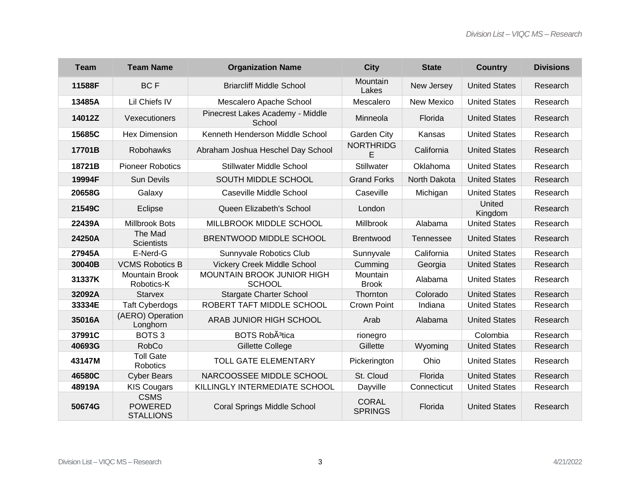| <b>Team</b> | <b>Team Name</b>                                  | <b>Organization Name</b>                    | <b>City</b>                    | <b>State</b>      | <b>Country</b>       | <b>Divisions</b> |
|-------------|---------------------------------------------------|---------------------------------------------|--------------------------------|-------------------|----------------------|------------------|
| 11588F      | <b>BCF</b>                                        | <b>Briarcliff Middle School</b>             | Mountain<br>Lakes              | New Jersey        | <b>United States</b> | Research         |
| 13485A      | Lil Chiefs IV                                     | Mescalero Apache School                     | Mescalero                      | <b>New Mexico</b> | <b>United States</b> | Research         |
| 14012Z      | Vexecutioners                                     | Pinecrest Lakes Academy - Middle<br>School  | Minneola                       | Florida           | <b>United States</b> | Research         |
| 15685C      | <b>Hex Dimension</b>                              | Kenneth Henderson Middle School             | <b>Garden City</b>             | Kansas            | <b>United States</b> | Research         |
| 17701B      | Robohawks                                         | Abraham Joshua Heschel Day School           | <b>NORTHRIDG</b><br>F          | California        | <b>United States</b> | Research         |
| 18721B      | <b>Pioneer Robotics</b>                           | <b>Stillwater Middle School</b>             | Stillwater                     | Oklahoma          | <b>United States</b> | Research         |
| 19994F      | <b>Sun Devils</b>                                 | SOUTH MIDDLE SCHOOL                         | <b>Grand Forks</b>             | North Dakota      | <b>United States</b> | Research         |
| 20658G      | Galaxy                                            | Caseville Middle School                     | Caseville                      | Michigan          | <b>United States</b> | Research         |
| 21549C      | Eclipse                                           | Queen Elizabeth's School                    | London                         |                   | United<br>Kingdom    | Research         |
| 22439A      | <b>Millbrook Bots</b>                             | MILLBROOK MIDDLE SCHOOL                     | Millbrook                      | Alabama           | <b>United States</b> | Research         |
| 24250A      | The Mad<br><b>Scientists</b>                      | BRENTWOOD MIDDLE SCHOOL                     | <b>Brentwood</b>               | Tennessee         | <b>United States</b> | Research         |
| 27945A      | E-Nerd-G                                          | Sunnyvale Robotics Club                     | Sunnyvale                      | California        | <b>United States</b> | Research         |
| 30040B      | <b>VCMS Robotics B</b>                            | Vickery Creek Middle School                 | Cumming                        | Georgia           | <b>United States</b> | Research         |
| 31337K      | <b>Mountain Brook</b><br>Robotics-K               | MOUNTAIN BROOK JUNIOR HIGH<br><b>SCHOOL</b> | Mountain<br><b>Brook</b>       | Alabama           | <b>United States</b> | Research         |
| 32092A      | <b>Starvex</b>                                    | <b>Stargate Charter School</b>              | Thornton                       | Colorado          | <b>United States</b> | Research         |
| 33334E      | <b>Taft Cyberdogs</b>                             | ROBERT TAFT MIDDLE SCHOOL                   | Crown Point                    | Indiana           | <b>United States</b> | Research         |
| 35016A      | (AERO) Operation<br>Longhorn                      | ARAB JUNIOR HIGH SCHOOL                     | Arab                           | Alabama           | <b>United States</b> | Research         |
| 37991C      | BOTS <sub>3</sub>                                 | BOTS Rob <sub>A3tica</sub>                  | rionegro                       |                   | Colombia             | Research         |
| 40693G      | <b>RobCo</b>                                      | Gillette College                            | Gillette                       | Wyoming           | <b>United States</b> | Research         |
| 43147M      | <b>Toll Gate</b><br>Robotics                      | <b>TOLL GATE ELEMENTARY</b>                 | Pickerington                   | Ohio              | <b>United States</b> | Research         |
| 46580C      | <b>Cyber Bears</b>                                | NARCOOSSEE MIDDLE SCHOOL                    | St. Cloud                      | Florida           | <b>United States</b> | Research         |
| 48919A      | <b>KIS Cougars</b>                                | KILLINGLY INTERMEDIATE SCHOOL               | Dayville                       | Connecticut       | <b>United States</b> | Research         |
| 50674G      | <b>CSMS</b><br><b>POWERED</b><br><b>STALLIONS</b> | <b>Coral Springs Middle School</b>          | <b>CORAL</b><br><b>SPRINGS</b> | Florida           | <b>United States</b> | Research         |